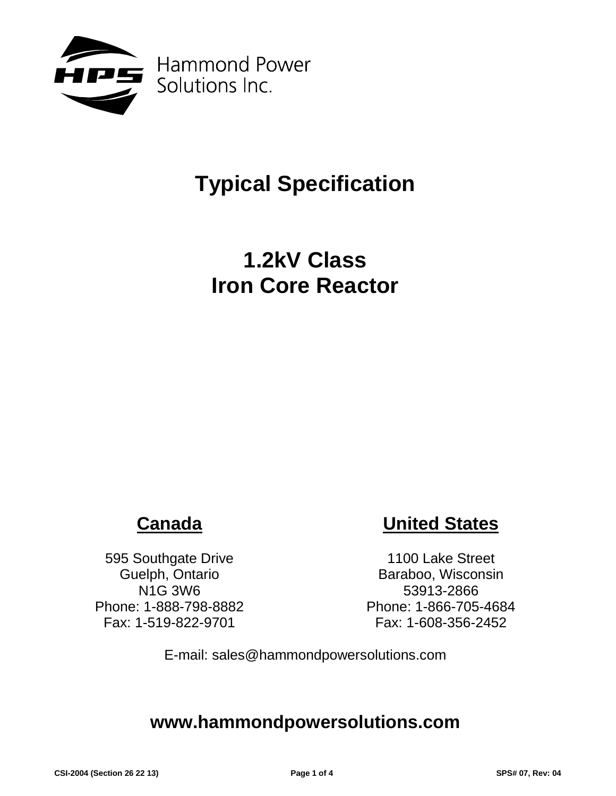

# **Typical Specification**

## **1.2kV Class Iron Core Reactor**

## **Canada**

595 Southgate Drive Guelph, Ontario N1G 3W6 Phone: 1-888-798-8882 Fax: 1-519-822-9701

## **United States**

1100 Lake Street Baraboo, Wisconsin 53913-2866 Phone: 1-866-705-4684 Fax: 1-608-356-2452

E-mail: sales@hammondpowersolutions.com

### **www.hammondpowersolutions.com**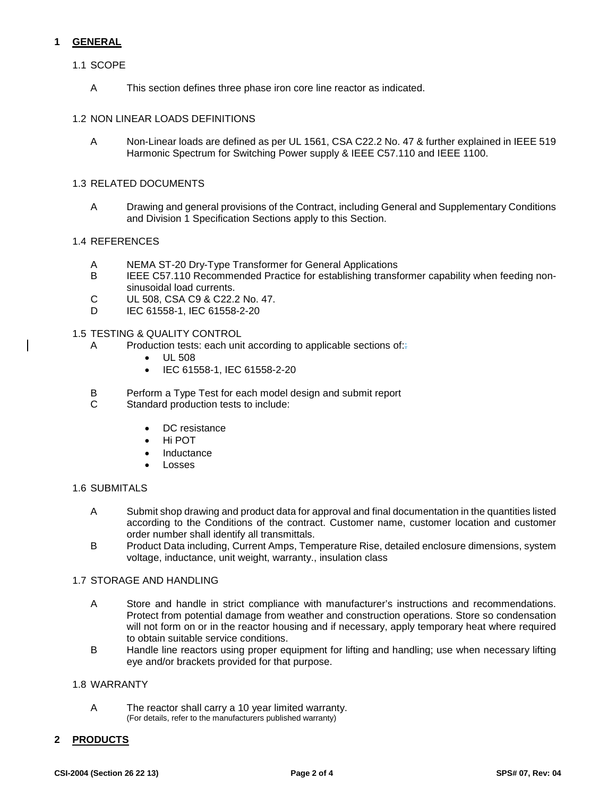#### **1 GENERAL**

#### 1.1 SCOPE

A This section defines three phase iron core line reactor as indicated.

#### 1.2 NON LINEAR LOADS DEFINITIONS

A Non-Linear loads are defined as per UL 1561, CSA C22.2 No. 47 & further explained in IEEE 519 Harmonic Spectrum for Switching Power supply & IEEE C57.110 and IEEE 1100.

#### 1.3 RELATED DOCUMENTS

A Drawing and general provisions of the Contract, including General and Supplementary Conditions and Division 1 Specification Sections apply to this Section.

#### 1.4 REFERENCES

- A NEMA ST-20 Dry-Type Transformer for General Applications
- B IEEE C57.110 Recommended Practice for establishing transformer capability when feeding nonsinusoidal load currents.
- C UL 508, CSA C9 & C22.2 No. 47.
- D IEC 61558-1, IEC 61558-2-20

#### 1.5 TESTING & QUALITY CONTROL

- A Production tests: each unit according to applicable sections of:
	- UL 508
	- IEC 61558-1, IEC 61558-2-20
- B Perform a Type Test for each model design and submit report<br>C. Standard production tests to include:
- Standard production tests to include:
	- DC resistance
	- Hi POT
	- **Inductance**
	- **Losses**

#### 1.6 SUBMITALS

- A Submit shop drawing and product data for approval and final documentation in the quantities listed according to the Conditions of the contract. Customer name, customer location and customer order number shall identify all transmittals.
- B Product Data including, Current Amps, Temperature Rise, detailed enclosure dimensions, system voltage, inductance, unit weight, warranty., insulation class

#### 1.7 STORAGE AND HANDLING

- A Store and handle in strict compliance with manufacturer's instructions and recommendations. Protect from potential damage from weather and construction operations. Store so condensation will not form on or in the reactor housing and if necessary, apply temporary heat where required to obtain suitable service conditions.
- B Handle line reactors using proper equipment for lifting and handling; use when necessary lifting eye and/or brackets provided for that purpose.

#### 1.8 WARRANTY

A The reactor shall carry a 10 year limited warranty. (For details, refer to the manufacturers published warranty)

#### **2 PRODUCTS**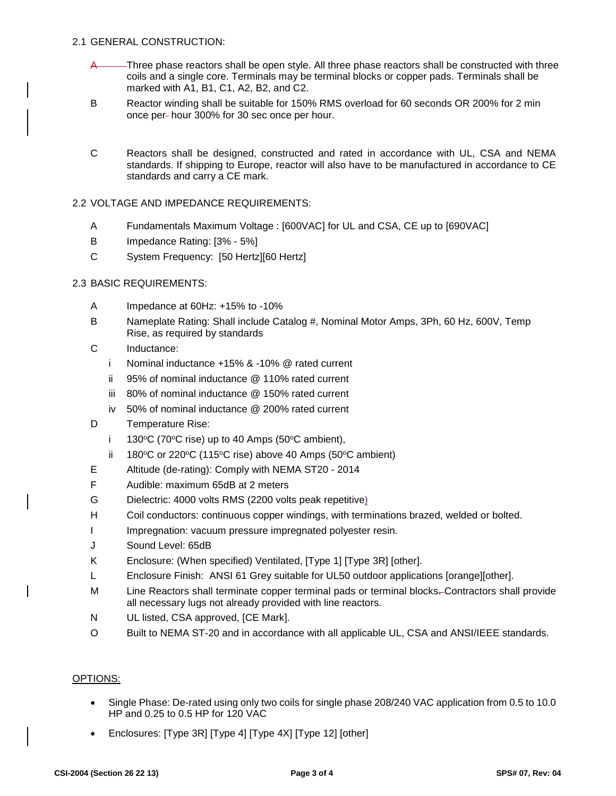- A Three phase reactors shall be open style. All three phase reactors shall be constructed with three coils and a single core. Terminals may be terminal blocks or copper pads. Terminals shall be marked with A1, B1, C1, A2, B2, and C2.
- B Reactor winding shall be suitable for 150% RMS overload for 60 seconds OR 200% for 2 min once per- hour 300% for 30 sec once per hour.
- C Reactors shall be designed, constructed and rated in accordance with UL, CSA and NEMA standards. If shipping to Europe, reactor will also have to be manufactured in accordance to CE standards and carry a CE mark.
- 2.2 VOLTAGE AND IMPEDANCE REQUIREMENTS:
	- A Fundamentals Maximum Voltage : [600VAC] for UL and CSA, CE up to [690VAC]
	- B Impedance Rating: [3% 5%]
	- C System Frequency: [50 Hertz][60 Hertz]

#### 2.3 BASIC REQUIREMENTS:

- A Impedance at 60Hz: +15% to -10%
- B Nameplate Rating: Shall include Catalog #, Nominal Motor Amps, 3Ph, 60 Hz, 600V, Temp Rise, as required by standards
- C Inductance:
	- i Nominal inductance +15% & -10% @ rated current
	- ii 95% of nominal inductance @ 110% rated current
	- iii 80% of nominal inductance @ 150% rated current
	- iv 50% of nominal inductance @ 200% rated current
- D Temperature Rise:
	- i 130 $\degree$ C (70 $\degree$ C rise) up to 40 Amps (50 $\degree$ C ambient),
	- ii 180 $\degree$ C or 220 $\degree$ C (115 $\degree$ C rise) above 40 Amps (50 $\degree$ C ambient)
- E Altitude (de-rating): Comply with NEMA ST20 2014
- F Audible: maximum 65dB at 2 meters
- G Dielectric: 4000 volts RMS (2200 volts peak repetitive)
- H Coil conductors: continuous copper windings, with terminations brazed, welded or bolted.
- I Impregnation: vacuum pressure impregnated polyester resin.
- J Sound Level: 65dB
- K Enclosure: (When specified) Ventilated, [Type 1] [Type 3R] [other].
- L Enclosure Finish: ANSI 61 Grey suitable for UL50 outdoor applications [orange][other].
- M Line Reactors shall terminate copper terminal pads or terminal blocks. Contractors shall provide all necessary lugs not already provided with line reactors.
- N UL listed, CSA approved, [CE Mark].
- O Built to NEMA ST-20 and in accordance with all applicable UL, CSA and ANSI/IEEE standards.

#### OPTIONS:

- Single Phase: De-rated using only two coils for single phase 208/240 VAC application from 0.5 to 10.0 HP and 0.25 to 0.5 HP for 120 VAC
- Enclosures: [Type 3R] [Type 4] [Type 4X] [Type 12] [other]